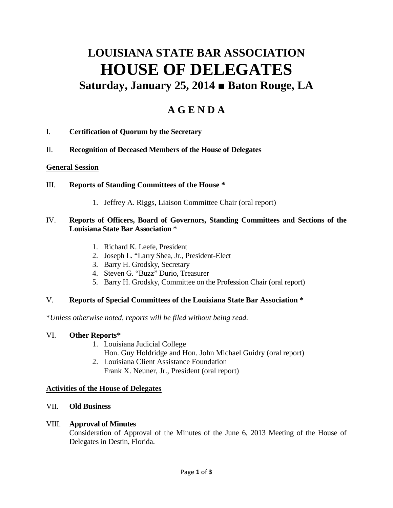# **LOUISIANA STATE BAR ASSOCIATION HOUSE OF DELEGATES Saturday, January 25, 2014 ■ Baton Rouge, LA**

# **A G E N D A**

- I. **Certification of Quorum by the Secretary**
- II. **Recognition of Deceased Members of the House of Delegates**

#### **General Session**

- III. **Reports of Standing Committees of the House \***
	- 1. Jeffrey A. Riggs, Liaison Committee Chair (oral report)

#### IV. **Reports of Officers, Board of Governors, Standing Committees and Sections of the Louisiana State Bar Association** \*

- 1. Richard K. Leefe, President
- 2. Joseph L. "Larry Shea, Jr., President-Elect
- 3. Barry H. Grodsky, Secretary
- 4. Steven G. "Buzz" Durio, Treasurer
- 5. Barry H. Grodsky, Committee on the Profession Chair (oral report)

### V. **Reports of Special Committees of the Louisiana State Bar Association \***

\**Unless otherwise noted, reports will be filed without being read.*

#### VI. **Other Reports\***

- 1. Louisiana Judicial College
	- Hon. Guy Holdridge and Hon. John Michael Guidry (oral report)
- 2. Louisiana Client Assistance Foundation Frank X. Neuner, Jr., President (oral report)

#### **Activities of the House of Delegates**

#### VII. **Old Business**

#### VIII. **Approval of Minutes**

Consideration of Approval of the Minutes of the June 6, 2013 Meeting of the House of Delegates in Destin, Florida.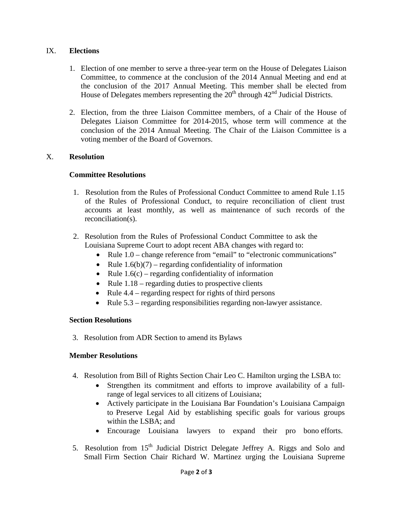#### IX. **Elections**

- 1. Election of one member to serve a three-year term on the House of Delegates Liaison Committee, to commence at the conclusion of the 2014 Annual Meeting and end at the conclusion of the 2017 Annual Meeting. This member shall be elected from House of Delegates members representing the  $20<sup>th</sup>$  through  $42<sup>nd</sup>$  Judicial Districts.
- 2. Election, from the three Liaison Committee members, of a Chair of the House of Delegates Liaison Committee for 2014-2015, whose term will commence at the conclusion of the 2014 Annual Meeting. The Chair of the Liaison Committee is a voting member of the Board of Governors.

#### X. **Resolution**

#### **Committee Resolutions**

- 1. Resolution from the Rules of Professional Conduct Committee to amend Rule 1.15 of the Rules of Professional Conduct, to require reconciliation of client trust accounts at least monthly, as well as maintenance of such records of the reconciliation(s).
- 2. Resolution from the Rules of Professional Conduct Committee to ask the Louisiana Supreme Court to adopt recent ABA changes with regard to:
	- Rule 1.0 change reference from "email" to "electronic communications"
	- Rule  $1.6(b)(7)$  regarding confidentiality of information
	- Rule  $1.6(c)$  regarding confidentiality of information
	- Rule  $1.18$  regarding duties to prospective clients
	- Rule 4.4 regarding respect for rights of third persons
	- Rule 5.3 regarding responsibilities regarding non-lawyer assistance.

#### **Section Resolutions**

3. Resolution from ADR Section to amend its Bylaws

#### **Member Resolutions**

- 4. Resolution from Bill of Rights Section Chair Leo C. Hamilton urging the LSBA to:
	- Strengthen its commitment and efforts to improve availability of a fullrange of legal services to all citizens of Louisiana;
	- Actively participate in the Louisiana Bar Foundation's Louisiana Campaign to Preserve Legal Aid by establishing specific goals for various groups within the LSBA; and
	- Encourage Louisiana lawyers to expand their pro bono efforts.
- 5. Resolution from  $15<sup>th</sup>$  Judicial District Delegate Jeffrey A. Riggs and Solo and Small Firm Section Chair Richard W. Martinez urging the Louisiana Supreme